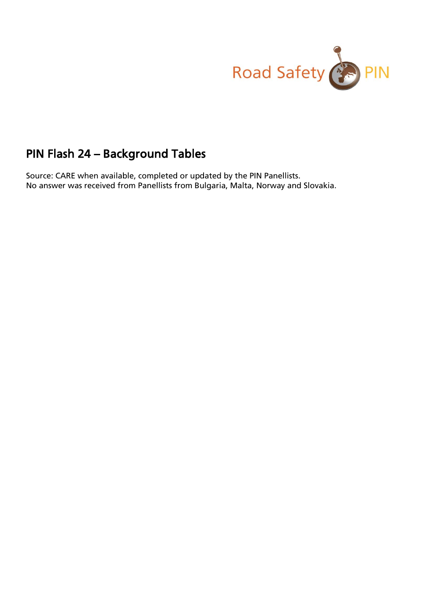

# PIN Flash 24 – Background Tables

Source: CARE when available, completed or updated by the PIN Panellists. No answer was received from Panellists from Bulgaria, Malta, Norway and Slovakia.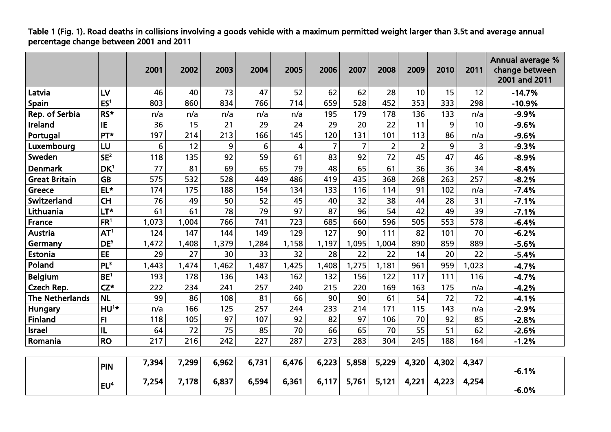### Table 1 (Fig. 1). Road deaths in collisions involving a goods vehicle with a maximum permitted weight larger than 3.5t and average annual percentage change between 2001 and 2011

|                        |                 | 2001  | 2002  | 2003  | 2004  | 2005  | 2006           | 2007           | 2008           | 2009           | 2010  | 2011  | Annual average %<br>change between<br>2001 and 2011 |
|------------------------|-----------------|-------|-------|-------|-------|-------|----------------|----------------|----------------|----------------|-------|-------|-----------------------------------------------------|
| Latvia                 | LV              | 46    | 40    | 73    | 47    | 52    | 62             | 62             | 28             | 10             | 15    | 12    | $-14.7%$                                            |
| Spain                  | ES <sup>1</sup> | 803   | 860   | 834   | 766   | 714   | 659            | 528            | 452            | 353            | 333   | 298   | $-10.9%$                                            |
| Rep. of Serbia         | RS*             | n/a   | n/a   | n/a   | n/a   | n/a   | 195            | 179            | 178            | 136            | 133   | n/a   | $-9.9%$                                             |
| Ireland                | IE              | 36    | 15    | 21    | 29    | 24    | 29             | 20             | 22             | 11             | 9     | 10    | $-9.6%$                                             |
| Portugal               | PT*             | 197   | 214   | 213   | 166   | 145   | 120            | 131            | 101            | 113            | 86    | n/a   | $-9.6%$                                             |
| Luxembourg             | LU              | 6     | 12    | 9     | 6     | 4     | $\overline{7}$ | $\overline{7}$ | $\overline{2}$ | $\overline{2}$ | 9     | 3     | $-9.3%$                                             |
| Sweden                 | SE <sup>2</sup> | 118   | 135   | 92    | 59    | 61    | 83             | 92             | 72             | 45             | 47    | 46    | $-8.9%$                                             |
| <b>Denmark</b>         | DK <sup>1</sup> | 77    | 81    | 69    | 65    | 79    | 48             | 65             | 61             | 36             | 36    | 34    | $-8.4%$                                             |
| <b>Great Britain</b>   | <b>GB</b>       | 575   | 532   | 528   | 449   | 486   | 419            | 435            | 368            | 268            | 263   | 257   | $-8.2%$                                             |
| Greece                 | $EL*$           | 174   | 175   | 188   | 154   | 134   | 133            | 116            | 114            | 91             | 102   | n/a   | $-7.4%$                                             |
| Switzerland            | <b>CH</b>       | 76    | 49    | 50    | 52    | 45    | 40             | 32             | 38             | 44             | 28    | 31    | $-7.1%$                                             |
| Lithuania              | LT*             | 61    | 61    | 78    | 79    | 97    | 87             | 96             | 54             | 42             | 49    | 39    | $-7.1%$                                             |
| France                 | FR <sup>1</sup> | 1,073 | 1,004 | 766   | 741   | 723   | 685            | 660            | 596            | 505            | 553   | 578   | $-6.4%$                                             |
| Austria                | AT <sup>1</sup> | 124   | 147   | 144   | 149   | 129   | 127            | 90             | 111            | 82             | 101   | 70    | $-6.2%$                                             |
| Germany                | DE <sup>5</sup> | 1,472 | 1,408 | 1,379 | 1,284 | 1,158 | 1,197          | 1,095          | 1,004          | 890            | 859   | 889   | $-5.6%$                                             |
| Estonia                | <b>EE</b>       | 29    | 27    | 30    | 33    | 32    | 28             | 22             | 22             | 14             | 20    | 22    | $-5.4%$                                             |
| Poland                 | PL <sup>3</sup> | 1,443 | 1,474 | 1,462 | 1,487 | 1,425 | 1,408          | 1,275          | 1,181          | 961            | 959   | 1,023 | $-4.7%$                                             |
| <b>Belgium</b>         | BE <sup>1</sup> | 193   | 178   | 136   | 143   | 162   | 132            | 156            | 122            | 117            | 111   | 116   | $-4.7%$                                             |
| Czech Rep.             | $CZ^*$          | 222   | 234   | 241   | 257   | 240   | 215            | 220            | 169            | 163            | 175   | n/a   | $-4.2%$                                             |
| <b>The Netherlands</b> | <b>NL</b>       | 99    | 86    | 108   | 81    | 66    | 90             | 90             | 61             | 54             | 72    | 72    | $-4.1%$                                             |
| Hungary                | HU <sup>1</sup> | n/a   | 166   | 125   | 257   | 244   | 233            | 214            | 171            | 115            | 143   | n/a   | $-2.9%$                                             |
| <b>Finland</b>         | F1              | 118   | 105   | 97    | 107   | 92    | 82             | 97             | 106            | 70             | 92    | 85    | $-2.8%$                                             |
| <b>Israel</b>          | IL              | 64    | 72    | 75    | 85    | 70    | 66             | 65             | 70             | 55             | 51    | 62    | $-2.6%$                                             |
| Romania                | <b>RO</b>       | 217   | 216   | 242   | 227   | 287   | 273            | 283            | 304            | 245            | 188   | 164   | $-1.2%$                                             |
|                        |                 |       |       |       |       |       |                |                |                |                |       |       |                                                     |
|                        | <b>PIN</b>      | 7,394 | 7,299 | 6,962 | 6,731 | 6,476 | 6,223          | 5,858          | 5,229          | 4,320          | 4,302 | 4,347 | $-6.1%$                                             |
|                        | EU <sup>4</sup> | 7,254 | 7,178 | 6,837 | 6,594 | 6,361 | 6,117          | 5,761          | 5,121          | 4,221          | 4,223 | 4,254 | $-6.0%$                                             |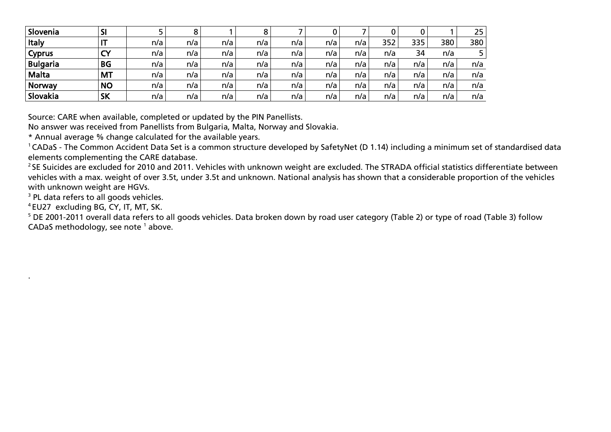| Slovenia        | וכ        |     |     |     |     |     |     |     |     |     |     | 25  |
|-----------------|-----------|-----|-----|-----|-----|-----|-----|-----|-----|-----|-----|-----|
| <b>Italy</b>    |           | n/a | n/a | n/a | n/a | n/a | n/a | n/a | 352 | 335 | 380 | 380 |
| <b>Cyprus</b>   |           | n/a | n/a | n/a | n/a | n/a | n/a | n/a | n/a | 34  | n/a |     |
| <b>Bulgaria</b> | <b>BG</b> | n/a | n/a | n/a | n/a | n/a | n/a | n/a | n/a | n/a | n/a | n/a |
| Malta           | <b>MT</b> | n/a | n/a | n/a | n/a | n/a | n/a | n/a | n/a | n/a | n/a | n/a |
| Norway          | <b>NO</b> | n/a | n/a | n/a | n/a | n/a | n/a | n/a | n/a | n/a | n/a | n/a |
| Slovakia        | <b>SK</b> | n/a | n/a | n/a | n/a | n/a | n/a | n/a | n/a | n/a | n/a | n/a |

Source: CARE when available, completed or updated by the PIN Panellists.

No answer was received from Panellists from Bulgaria, Malta, Norway and Slovakia.

\* Annual average % change calculated for the available years.

<sup>1</sup> CADaS - The Common Accident Data Set is a common structure developed by SafetyNet (D 1.14) including a minimum set of standardised data elements complementing the CARE database.

 $^2$ SE Suicides are excluded for 2010 and 2011. Vehicles with unknown weight are excluded. The STRADA official statistics differentiate between vehicles with a max. weight of over 3.5t, under 3.5t and unknown. National analysis has shown that a considerable proportion of the vehicles with unknown weight are HGVs.

<sup>3</sup> PL data refers to all goods vehicles.

<sup>4</sup> EU27 excluding BG, CY, IT, MT, SK.

.

<sup>5</sup> DE 2001-2011 overall data refers to all goods vehicles. Data broken down by road user category (Table 2) or type of road (Table 3) follow CADaS methodology, see note<sup>1</sup> above.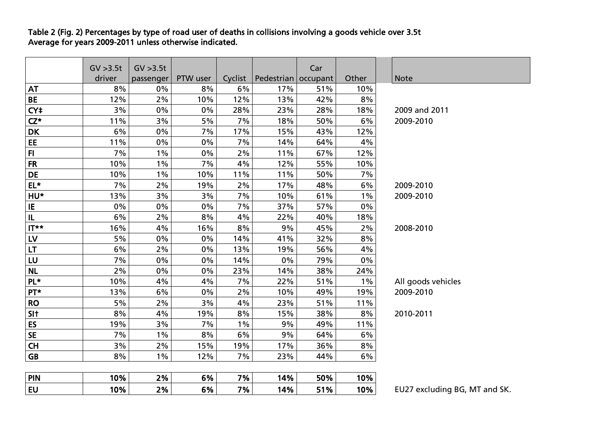Table 2 (Fig. 2) Percentages by type of road user of deaths in collisions involving a goods vehicle over 3.5t Average for years 2009-2011 unless otherwise indicated.

|                                   | GV > 3.5t | GV > 3.5t |          |         |                       | Car |       |                               |
|-----------------------------------|-----------|-----------|----------|---------|-----------------------|-----|-------|-------------------------------|
|                                   | driver    | passenger | PTW user | Cyclist | Pedestrian   occupant |     | Other | Note                          |
| <b>AT</b>                         | 8%        | 0%        | 8%       | 6%      | 17%                   | 51% | 10%   |                               |
| <b>BE</b>                         | 12%       | 2%        | 10%      | 12%     | 13%                   | 42% | 8%    |                               |
| CY <sup>+</sup>                   | 3%        | 0%        | 0%       | 28%     | 23%                   | 28% | 18%   | 2009 and 2011                 |
| $CZ^*$                            | 11%       | 3%        | 5%       | 7%      | 18%                   | 50% | 6%    | 2009-2010                     |
| <b>DK</b>                         | 6%        | 0%        | 7%       | 17%     | 15%                   | 43% | 12%   |                               |
| EE                                | 11%       | 0%        | 0%       | 7%      | 14%                   | 64% | 4%    |                               |
| F1                                | 7%        | $1\%$     | 0%       | 2%      | 11%                   | 67% | 12%   |                               |
| <b>FR</b>                         | 10%       | $1\%$     | 7%       | 4%      | 12%                   | 55% | 10%   |                               |
| DE                                | 10%       | $1\%$     | 10%      | 11%     | 11%                   | 50% | 7%    |                               |
| $EL*$                             | 7%        | 2%        | 19%      | 2%      | 17%                   | 48% | 6%    | 2009-2010                     |
| HU*                               | 13%       | 3%        | 3%       | 7%      | 10%                   | 61% | $1\%$ | 2009-2010                     |
| IE                                | 0%        | 0%        | $0\%$    | 7%      | 37%                   | 57% | 0%    |                               |
| $\ensuremath{\mathsf{IL}}\xspace$ | 6%        | $2\%$     | 8%       | 4%      | 22%                   | 40% | 18%   |                               |
| $I^{\star\star}$                  | 16%       | 4%        | 16%      | 8%      | 9%                    | 45% | 2%    | 2008-2010                     |
| LV                                | 5%        | $0\%$     | $0\%$    | 14%     | 41%                   | 32% | 8%    |                               |
| $\mathsf{LT}\xspace$              | 6%        | 2%        | 0%       | 13%     | 19%                   | 56% | 4%    |                               |
| LU                                | 7%        | 0%        | 0%       | 14%     | 0%                    | 79% | 0%    |                               |
| <b>NL</b>                         | 2%        | 0%        | 0%       | 23%     | 14%                   | 38% | 24%   |                               |
| PL*                               | 10%       | 4%        | 4%       | 7%      | 22%                   | 51% | $1\%$ | All goods vehicles            |
| PT*                               | 13%       | 6%        | 0%       | 2%      | 10%                   | 49% | 19%   | 2009-2010                     |
| <b>RO</b>                         | 5%        | 2%        | 3%       | 4%      | 23%                   | 51% | 11%   |                               |
| SI <sub>t</sub>                   | 8%        | 4%        | 19%      | 8%      | 15%                   | 38% | 8%    | 2010-2011                     |
| ES                                | 19%       | 3%        | 7%       | $1\%$   | 9%                    | 49% | 11%   |                               |
| <b>SE</b>                         | 7%        | $1\%$     | 8%       | 6%      | 9%                    | 64% | 6%    |                               |
| <b>CH</b>                         | 3%        | 2%        | 15%      | 19%     | 17%                   | 36% | 8%    |                               |
| <b>GB</b>                         | 8%        | $1\%$     | 12%      | 7%      | 23%                   | 44% | 6%    |                               |
|                                   |           |           |          |         |                       |     |       |                               |
| <b>PIN</b>                        | 10%       | 2%        | 6%       | 7%      | 14%                   | 50% | 10%   |                               |
| <b>EU</b>                         | 10%       | 2%        | 6%       | 7%      | 14%                   | 51% | 10%   | EU27 excluding BG, MT and SK. |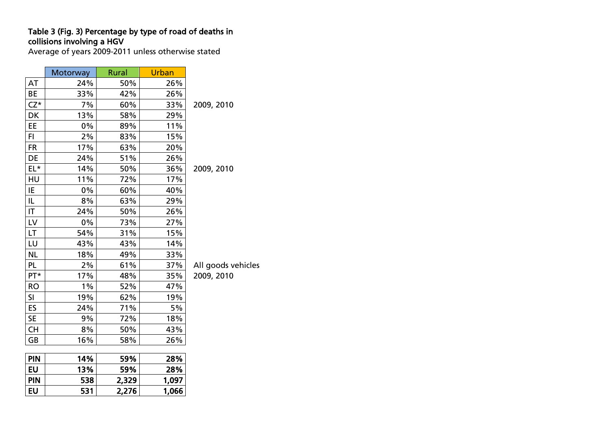#### Table 3 (Fig. 3) Percentage by type of road of deaths in collisions involving a HGV

Average of years 2009-2011 unless otherwise stated

|                        | Motorway | <b>Rural</b> | Urban |             |
|------------------------|----------|--------------|-------|-------------|
| AT                     | 24%      | 50%          | 26%   |             |
| BE                     | 33%      | 42%          | 26%   |             |
| $CZ^*$                 | 7%       | 60%          | 33%   | 2009, 2010  |
| DK                     | 13%      | 58%          | 29%   |             |
| EE                     | 0%       | 89%          | 11%   |             |
| FI.                    | 2%       | 83%          | 15%   |             |
| <b>FR</b>              | 17%      | 63%          | 20%   |             |
| DE                     | 24%      | 51%          | 26%   |             |
| EL*                    | 14%      | 50%          | 36%   | 2009, 2010  |
| HU                     | 11%      | 72%          | 17%   |             |
| IE                     | 0%       | 60%          | 40%   |             |
| IL                     | 8%       | 63%          | 29%   |             |
| IT.                    | 24%      | 50%          | 26%   |             |
| $\mathsf{L}\mathsf{V}$ | 0%       | 73%          | 27%   |             |
| LT                     | 54%      | 31%          | 15%   |             |
| LU                     | 43%      | 43%          | 14%   |             |
| <b>NL</b>              | 18%      | 49%          | 33%   |             |
| <b>PL</b>              | 2%       | 61%          | 37%   | All goods v |
| PT*                    | 17%      | 48%          | 35%   | 2009, 2010  |
| <b>RO</b>              | 1%       | 52%          | 47%   |             |
| SI                     | 19%      | 62%          | 19%   |             |
| ES                     | 24%      | 71%          | 5%    |             |
| <b>SE</b>              | 9%       | 72%          | 18%   |             |
| CH                     | 8%       | 50%          | 43%   |             |
| GB                     | 16%      | 58%          | 26%   |             |
|                        |          |              |       |             |
| <b>PIN</b>             | 14%      | 59%          | 28%   |             |
| <b>EU</b>              | 13%      | 59%          | 28%   |             |
| <b>PIN</b>             | 538      | 2,329        | 1,097 |             |
| <b>EU</b>              | 531      | 2,276        | 1,066 |             |

vehicles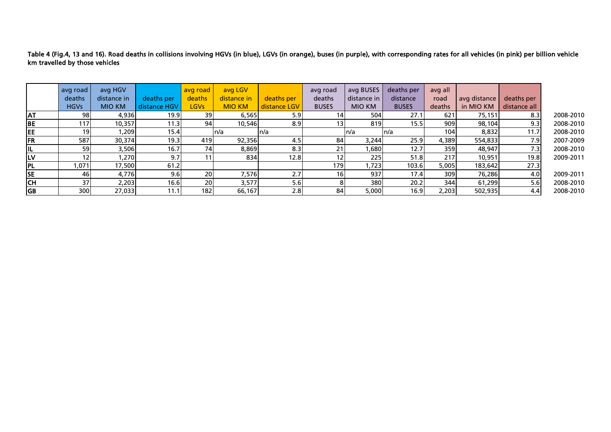Table 4 (Fig.4, 13 and 16). Road deaths in collisions involving HGVs (in blue), LGVs (in orange), buses (in purple), with corresponding rates for all vehicles (in pink) per billion vehicle km travelled by those vehicles

|           | avg road        | avg HGV       |              | avg road    | avg LGV       |              | avg road        | avg BUSES     | deaths per   | avg all |              |                  |           |
|-----------|-----------------|---------------|--------------|-------------|---------------|--------------|-----------------|---------------|--------------|---------|--------------|------------------|-----------|
|           | deaths          | distance in   | deaths per   | deaths      | distance in   | deaths per   | deaths          | distance in   | distance     | road    | avg distance | deaths per       |           |
|           | <b>HGVs</b>     | <b>MIO KM</b> | distance HGV | <b>LGVs</b> | <b>MIO KM</b> | distance LGV | <b>BUSES</b>    | <b>MIO KM</b> | <b>BUSES</b> | deaths  | in MIO KM    | distance all     |           |
| <b>AT</b> | 98              | 4,936         | 19.9         | 39          | 6,565         | 5.9          | 14I             | 504           | 27.1         | 621     | 75,151       | 8.3              | 2008-2010 |
| <b>BE</b> | 117             | 10,357        | 11.3         | 94          | 10,546        | 8.9          | 13 <sub>1</sub> | 819           | 15.5         | 909     | 98,104       | 9.3              | 2008-2010 |
| EE        | 19 <sup>l</sup> | ,209          | 15.4         |             | ln/a          | In/a         |                 | In/a          | ln/a         | 104     | 8,832        | 11.7             | 2008-2010 |
| <b>FR</b> | 587             | 30,374        | 19.3         | 419         | 92,356        | 4.5          | 84              | 3,244         | 25.9         | 4,389   | 554,833      | 7.9              | 2007-2009 |
| IL        | <b>59</b>       | 3,506         | 16.7         | 74          | 8,869         | 8.3          | 21              | ,680          | 12.7         | 359     | 48,947       | 7.3              | 2008-2010 |
| LV        | 12              | 1,270         | 9.7          | 11          | 834           | 12.8         | 12.             | 225           | 51.8         | 217     | 10,951       | 19.8             | 2009-2011 |
| <b>PL</b> | 1,071           | 17,500        | 61.2         |             |               |              | 179             | 1,723         | 103.6        | 5,005   | 183,642      | 27.3             |           |
| <b>SE</b> | 46I             | 4,776         | 9.6          | 20          | 7,576         | 2.7          | <b>16</b>       | 937           | 17.4         | 309     | 76,286       | 4.0 <sub>l</sub> | 2009-2011 |
| <b>CH</b> | 37 <sup>1</sup> | 2,203         | 16.6         | 20          | 3,577         | 5.6          |                 | 380           | 20.2         | 344     | 61,299       | 5.6              | 2008-2010 |
| <b>GB</b> | 300             | 27,033        | 11.1         | 182I        | 66,167        | 2.8          | 84              | 5,000         | 16.9         | 2,203   | 502,935      | 4.4              | 2008-2010 |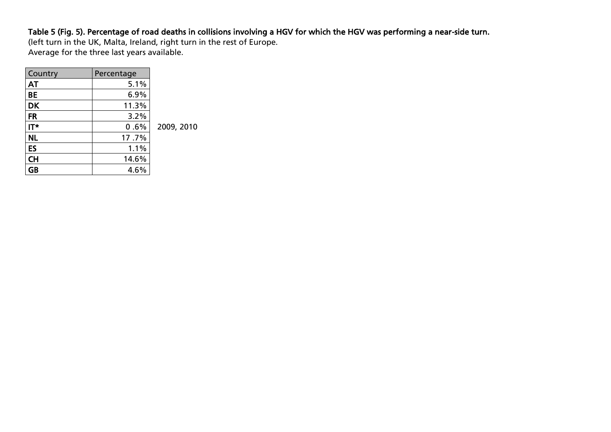### Table 5 (Fig. 5). Percentage of road deaths in collisions involving a HGV for which the HGV was performing a near-side turn.

(left turn in the UK, Malta, Ireland, right turn in the rest of Europe. Average for the three last years available.

| Country   | Percentage |            |
|-----------|------------|------------|
| <b>AT</b> | 5.1%       |            |
| <b>BE</b> | 6.9%       |            |
| <b>DK</b> | 11.3%      |            |
| <b>FR</b> | 3.2%       |            |
| IT*       | 0.6%       | 2009, 2010 |
| <b>NL</b> | 17.7%      |            |
| ES        | 1.1%       |            |
| <b>CH</b> | 14.6%      |            |
| <b>GB</b> | 4.6%       |            |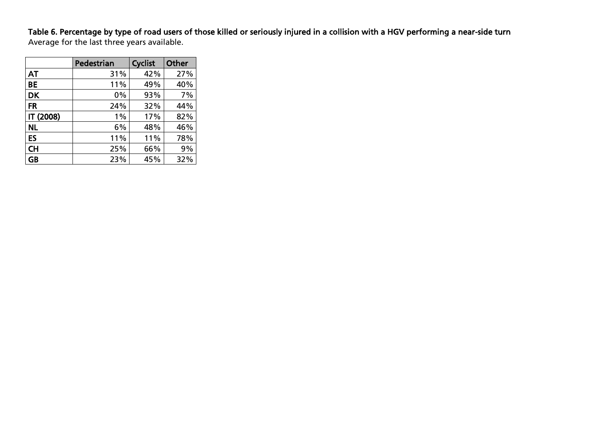### Table 6. Percentage by type of road users of those killed or seriously injured in a collision with a HGV performing a near-side turn

Average for the last three years available.

|           | Pedestrian | <b>Cyclist</b> | <b>Other</b> |
|-----------|------------|----------------|--------------|
| AT        | 31%        | 42%            | 27%          |
| BE        | 11%        | 49%            | 40%          |
| <b>DK</b> | 0%         | 93%            | 7%           |
| <b>FR</b> | 24%        | 32%            | 44%          |
| IT (2008) | 1%         | 17%            | 82%          |
| <b>NL</b> | 6%         | 48%            | 46%          |
| ES        | 11%        | 11%            | 78%          |
| <b>CH</b> | 25%        | 66%            | 9%           |
| <b>GB</b> | 23%        | 45%            | 32%          |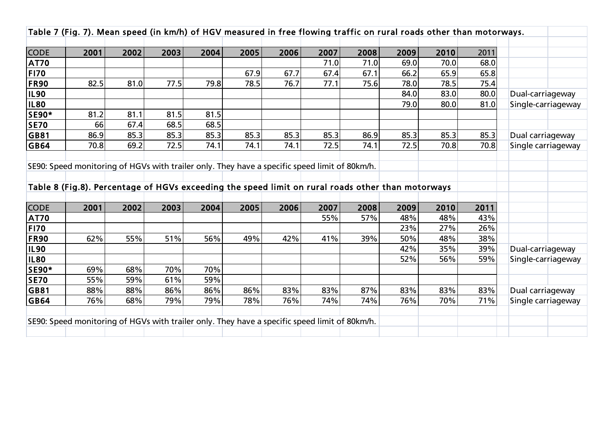|              |      |                                                                                                   |      |      |      |      |                                                                                               |      |      |      | Table 7 (Fig. 7). Mean speed (in km/h) of HGV measured in free flowing traffic on rural roads other than motorways. |                    |
|--------------|------|---------------------------------------------------------------------------------------------------|------|------|------|------|-----------------------------------------------------------------------------------------------|------|------|------|---------------------------------------------------------------------------------------------------------------------|--------------------|
|              |      |                                                                                                   |      |      |      |      |                                                                                               |      |      |      |                                                                                                                     |                    |
| <b>CODE</b>  | 2001 | 2002                                                                                              | 2003 | 2004 | 2005 | 2006 | 2007                                                                                          | 2008 | 2009 | 2010 | 2011                                                                                                                |                    |
| <b>AT70</b>  |      |                                                                                                   |      |      |      |      | 71.0                                                                                          | 71.0 | 69.0 | 70.0 | 68.0                                                                                                                |                    |
| <b>FI70</b>  |      |                                                                                                   |      |      | 67.9 | 67.7 | 67.4                                                                                          | 67.1 | 66.2 | 65.9 | 65.8                                                                                                                |                    |
| <b>FR90</b>  | 82.5 | 81.0                                                                                              | 77.5 | 79.8 | 78.5 | 76.7 | 77.1                                                                                          | 75.6 | 78.0 | 78.5 | 75.4                                                                                                                |                    |
| <b>IL90</b>  |      |                                                                                                   |      |      |      |      |                                                                                               |      | 84.0 | 83.0 | 80.0                                                                                                                | Dual-carriageway   |
| <b>IL80</b>  |      |                                                                                                   |      |      |      |      |                                                                                               |      | 79.0 | 80.0 | 81.0                                                                                                                | Single-carriageway |
| <b>SE90*</b> | 81.2 | 81.1                                                                                              | 81.5 | 81.5 |      |      |                                                                                               |      |      |      |                                                                                                                     |                    |
| <b>SE70</b>  | 66   | 67.4                                                                                              | 68.5 | 68.5 |      |      |                                                                                               |      |      |      |                                                                                                                     |                    |
| GB81         | 86.9 | 85.3                                                                                              | 85.3 | 85.3 | 85.3 | 85.3 | 85.3                                                                                          | 86.9 | 85.3 | 85.3 | 85.3                                                                                                                | Dual carriageway   |
| <b>GB64</b>  | 70.8 | 69.2                                                                                              | 72.5 | 74.1 | 74.1 | 74.1 | 72.5                                                                                          | 74.1 | 72.5 | 70.8 | 70.8                                                                                                                | Single carriageway |
|              |      |                                                                                                   |      |      |      |      |                                                                                               |      |      |      |                                                                                                                     |                    |
|              |      | SE90: Speed monitoring of HGVs with trailer only. They have a specific speed limit of 80km/h.     |      |      |      |      |                                                                                               |      |      |      |                                                                                                                     |                    |
|              |      |                                                                                                   |      |      |      |      |                                                                                               |      |      |      |                                                                                                                     |                    |
|              |      | Table 8 (Fig.8). Percentage of HGVs exceeding the speed limit on rural roads other than motorways |      |      |      |      |                                                                                               |      |      |      |                                                                                                                     |                    |
|              |      |                                                                                                   |      |      |      |      |                                                                                               |      |      |      |                                                                                                                     |                    |
| <b>CODE</b>  | 2001 | 2002                                                                                              | 2003 | 2004 | 2005 | 2006 | 2007                                                                                          | 2008 | 2009 | 2010 | 2011                                                                                                                |                    |
| <b>AT70</b>  |      |                                                                                                   |      |      |      |      | 55%                                                                                           | 57%  | 48%  | 48%  | 43%                                                                                                                 |                    |
| <b>FI70</b>  |      |                                                                                                   |      |      |      |      |                                                                                               |      | 23%  | 27%  | 26%                                                                                                                 |                    |
| <b>FR90</b>  | 62%  | 55%                                                                                               | 51%  | 56%  | 49%  | 42%  | 41%                                                                                           | 39%  | 50%  | 48%  | 38%                                                                                                                 |                    |
| <b>IL90</b>  |      |                                                                                                   |      |      |      |      |                                                                                               |      | 42%  | 35%  | 39%                                                                                                                 | Dual-carriageway   |
| <b>IL80</b>  |      |                                                                                                   |      |      |      |      |                                                                                               |      | 52%  | 56%  | 59%                                                                                                                 | Single-carriageway |
| <b>SE90*</b> | 69%  | 68%                                                                                               | 70%  | 70%  |      |      |                                                                                               |      |      |      |                                                                                                                     |                    |
| SE70         | 55%  | 59%                                                                                               | 61%  | 59%  |      |      |                                                                                               |      |      |      |                                                                                                                     |                    |
| GB81         | 88%  | 88%                                                                                               | 86%  | 86%  | 86%  | 83%  | 83%                                                                                           | 87%  | 83%  | 83%  | 83%                                                                                                                 | Dual carriageway   |
| GB64         | 76%  | 68%                                                                                               | 79%  | 79%  | 78%  | 76%  | 74%                                                                                           | 74%  | 76%  | 70%  | 71%                                                                                                                 | Single carriageway |
|              |      |                                                                                                   |      |      |      |      |                                                                                               |      |      |      |                                                                                                                     |                    |
|              |      |                                                                                                   |      |      |      |      |                                                                                               |      |      |      |                                                                                                                     |                    |
|              |      |                                                                                                   |      |      |      |      | SE90: Speed monitoring of HGVs with trailer only. They have a specific speed limit of 80km/h. |      |      |      |                                                                                                                     |                    |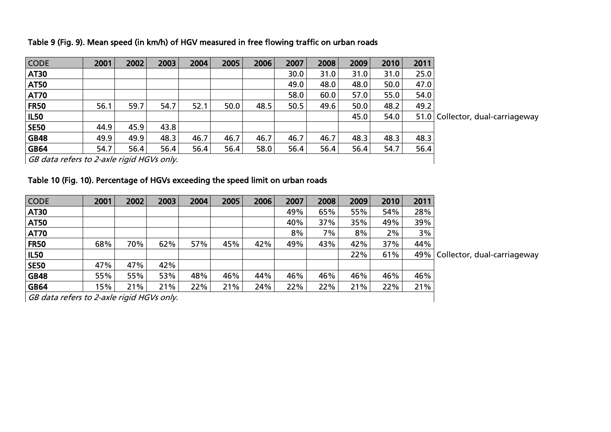|  | Table 9 (Fig. 9). Mean speed (in km/h) of HGV measured in free flowing traffic on urban roads |  |
|--|-----------------------------------------------------------------------------------------------|--|
|  |                                                                                               |  |

| <b>CODE</b> | 2001 | 2002 | 2003 | 2004 | 2005 | 2006 | 2007 | 2008 | 2009 | 2010 | 2011 |                                  |
|-------------|------|------|------|------|------|------|------|------|------|------|------|----------------------------------|
| <b>AT30</b> |      |      |      |      |      |      | 30.0 | 31.0 | 31.0 | 31.0 | 25.0 |                                  |
| <b>AT50</b> |      |      |      |      |      |      | 49.0 | 48.0 | 48.0 | 50.0 | 47.0 |                                  |
| <b>AT70</b> |      |      |      |      |      |      | 58.0 | 60.0 | 57.0 | 55.0 | 54.0 |                                  |
| <b>FR50</b> | 56.1 | 59.7 | 54.7 | 52.1 | 50.0 | 48.5 | 50.5 | 49.6 | 50.0 | 48.2 | 49.2 |                                  |
| <b>IL50</b> |      |      |      |      |      |      |      |      | 45.0 | 54.0 |      | 51.0 Collector, dual-carriageway |
| <b>SE50</b> | 44.9 | 45.9 | 43.8 |      |      |      |      |      |      |      |      |                                  |
| <b>GB48</b> | 49.9 | 49.9 | 48.3 | 46.7 | 46.7 | 46.7 | 46.7 | 46.7 | 48.3 | 48.3 | 48.3 |                                  |
| <b>GB64</b> | 54.7 | 56.4 | 56.4 | 56.4 | 56.4 | 58.0 | 56.4 | 56.4 | 56.4 | 54.7 | 56.4 |                                  |
|             |      |      |      |      |      |      |      |      |      |      |      |                                  |

GB data refers to 2-axle rigid HGVs only.

## Table 10 (Fig. 10). Percentage of HGVs exceeding the speed limit on urban roads

| <b>CODE</b> | 2001 | 2002 | 2003 | 2004 | 2005 | 2006 | 2007  | 2008 | 2009 | 2010 | 2011 |                                   |
|-------------|------|------|------|------|------|------|-------|------|------|------|------|-----------------------------------|
| <b>AT30</b> |      |      |      |      |      |      | 49%   | 65%  | 55%  | 54%  | 28%  |                                   |
| <b>AT50</b> |      |      |      |      |      |      | 40%   | 37%  | 35%  | 49%  | 39%  |                                   |
| <b>AT70</b> |      |      |      |      |      |      | $8\%$ | 7%   | 8%   | 2%   | 3%   |                                   |
| <b>FR50</b> | 68%  | 70%  | 62%  | 57%  | 45%  | 42%  | 49%   | 43%  | 42%  | 37%  | 44%  |                                   |
| <b>IL50</b> |      |      |      |      |      |      |       |      | 22%  | 61%  |      | 49%   Collector, dual-carriageway |
| <b>SE50</b> | 47%  | 47%  | 42%  |      |      |      |       |      |      |      |      |                                   |
| <b>GB48</b> | 55%  | 55%  | 53%  | 48%  | 46%  | 44%  | 46%   | 46%  | 46%  | 46%  | 46%  |                                   |
| <b>GB64</b> | 15%  | 21%  | 21%  | 22%  | 21%  | 24%  | 22%   | 22%  | 21%  | 22%  | 21%  |                                   |

GB data refers to 2-axle rigid HGVs only.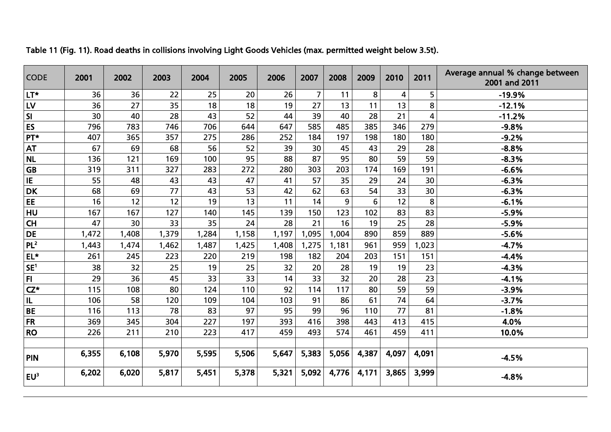| <b>CODE</b>             | 2001  | 2002  | 2003  | 2004  | 2005  | 2006  | 2007           | 2008  | 2009            | 2010  | 2011                    | Average annual % change between<br>2001 and 2011 |
|-------------------------|-------|-------|-------|-------|-------|-------|----------------|-------|-----------------|-------|-------------------------|--------------------------------------------------|
| LT*                     | 36    | 36    | 22    | 25    | 20    | 26    | $\overline{7}$ | 11    | 8               | 4     | 5                       | $-19.9%$                                         |
| <b>LV</b>               | 36    | 27    | 35    | 18    | 18    | 19    | 27             | 13    | 11              | 13    | 8                       | $-12.1%$                                         |
| $\overline{\mathsf{S}}$ | 30    | 40    | 28    | 43    | 52    | 44    | 39             | 40    | 28              | 21    | $\overline{\mathbf{4}}$ | $-11.2%$                                         |
| <b>ES</b>               | 796   | 783   | 746   | 706   | 644   | 647   | 585            | 485   | 385             | 346   | 279                     | $-9.8%$                                          |
| PT*                     | 407   | 365   | 357   | 275   | 286   | 252   | 184            | 197   | 198             | 180   | 180                     | $-9.2%$                                          |
| <b>AT</b>               | 67    | 69    | 68    | 56    | 52    | 39    | 30             | 45    | 43              | 29    | 28                      | $-8.8%$                                          |
| <b>NL</b>               | 136   | 121   | 169   | 100   | 95    | 88    | 87             | 95    | 80              | 59    | 59                      | $-8.3%$                                          |
| GB                      | 319   | 311   | 327   | 283   | 272   | 280   | 303            | 203   | 174             | 169   | 191                     | $-6.6%$                                          |
| IE                      | 55    | 48    | 43    | 43    | 47    | 41    | 57             | 35    | 29              | 24    | 30                      | $-6.3%$                                          |
| <b>DK</b>               | 68    | 69    | 77    | 43    | 53    | 42    | 62             | 63    | 54              | 33    | 30                      | $-6.3%$                                          |
| EE                      | 16    | 12    | 12    | 19    | 13    | 11    | 14             | 9     | $6\phantom{1}6$ | 12    | 8                       | $-6.1%$                                          |
| <b>HU</b>               | 167   | 167   | 127   | 140   | 145   | 139   | 150            | 123   | 102             | 83    | 83                      | $-5.9%$                                          |
| CH                      | 47    | 30    | 33    | 35    | 24    | 28    | 21             | 16    | 19              | 25    | 28                      | $-5.9%$                                          |
| <b>DE</b>               | 1,472 | 1,408 | 1,379 | 1,284 | 1,158 | 1,197 | 1,095          | 1,004 | 890             | 859   | 889                     | $-5.6%$                                          |
| PL <sup>2</sup>         | 1,443 | 1,474 | 1,462 | 1,487 | 1,425 | 1,408 | 1,275          | 1,181 | 961             | 959   | 1,023                   | $-4.7%$                                          |
| EL*                     | 261   | 245   | 223   | 220   | 219   | 198   | 182            | 204   | 203             | 151   | 151                     | $-4.4%$                                          |
| SE <sup>1</sup>         | 38    | 32    | 25    | 19    | 25    | 32    | 20             | 28    | 19              | 19    | 23                      | $-4.3%$                                          |
| FI.                     | 29    | 36    | 45    | 33    | 33    | 14    | 33             | 32    | 20              | 28    | 23                      | $-4.1%$                                          |
| $CZ^*$                  | 115   | 108   | 80    | 124   | 110   | 92    | 114            | 117   | 80              | 59    | 59                      | $-3.9%$                                          |
| IL                      | 106   | 58    | 120   | 109   | 104   | 103   | 91             | 86    | 61              | 74    | 64                      | $-3.7%$                                          |
| <b>BE</b>               | 116   | 113   | 78    | 83    | 97    | 95    | 99             | 96    | 110             | 77    | 81                      | $-1.8%$                                          |
| FR                      | 369   | 345   | 304   | 227   | 197   | 393   | 416            | 398   | 443             | 413   | 415                     | 4.0%                                             |
| <b>RO</b>               | 226   | 211   | 210   | 223   | 417   | 459   | 493            | 574   | 461             | 459   | 411                     | 10.0%                                            |
|                         |       |       |       |       |       |       |                |       |                 |       |                         |                                                  |
| PIN                     | 6,355 | 6,108 | 5,970 | 5,595 | 5,506 | 5,647 | 5,383          | 5,056 | 4,387           | 4,097 | 4,091                   | $-4.5%$                                          |
| $EU^3$                  | 6,202 | 6,020 | 5,817 | 5,451 | 5,378 | 5,321 | 5,092          | 4,776 | 4,171           | 3,865 | 3,999                   | $-4.8%$                                          |

Table 11 (Fig. 11). Road deaths in collisions involving Light Goods Vehicles (max. permitted weight below 3.5t).

-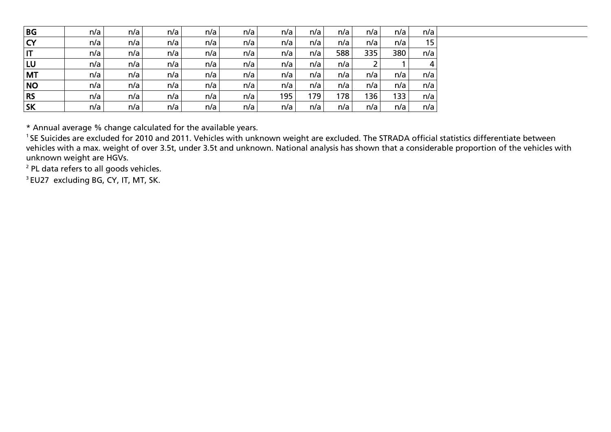| BG                     | n/a | n/a | n/a | n/a | n/a | n/a | n/a | n/a | n/a | n/a | n/a |
|------------------------|-----|-----|-----|-----|-----|-----|-----|-----|-----|-----|-----|
| <b>CY</b>              | n/a | n/a | n/a | n/a | n/a | n/a | n/a | n/a | n/a | n/a | 15  |
| $\mathsf{I}\mathsf{T}$ | n/a | n/a | n/a | n/a | n/a | n/a | n/a | 588 | 335 | 380 | n/a |
| LU                     | n/a | n/a | n/a | n/a | n/a | n/a | n/a | n/a |     |     | 4   |
| <b>MT</b>              | n/a | n/a | n/a | n/a | n/a | n/a | n/a | n/a | n/a | n/a | n/a |
| <b>NO</b>              | n/a | n/a | n/a | n/a | n/a | n/a | n/a | n/a | n/a | n/a | n/a |
| <b>RS</b>              | n/a | n/a | n/a | n/a | n/a | 195 | 179 | 178 | 136 | 133 | n/a |
| <b>SK</b>              | n/a | n/a | n/a | n/a | n/a | n/a | n/a | n/a | n/a | n/a | n/a |

\* Annual average % change calculated for the available years.

<sup>1</sup>SE Suicides are excluded for 2010 and 2011. Vehicles with unknown weight are excluded. The STRADA official statistics differentiate between vehicles with a max. weight of over 3.5t, under 3.5t and unknown. National analysis has shown that a considerable proportion of the vehicles with unknown weight are HGVs.

<sup>2</sup> PL data refers to all goods vehicles.

<sup>3</sup> EU27 excluding BG, CY, IT, MT, SK.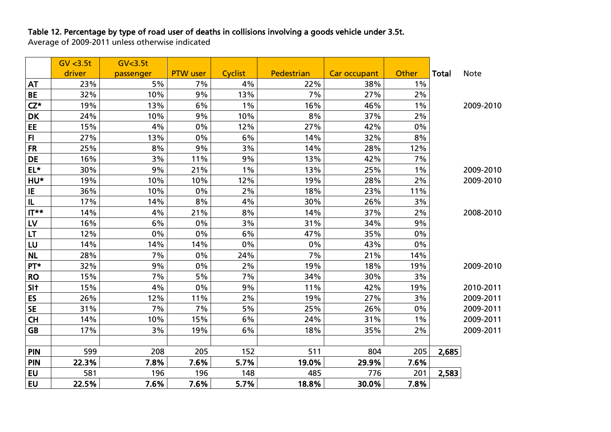# Table 12. Percentage by type of road user of deaths in collisions involving a goods vehicle under 3.5t.

Average of 2009-2011 unless otherwise indicated

|                 | GV < 3.5t | GV <sub>3.5t</sub> |                 |         |            |              |       |              |             |
|-----------------|-----------|--------------------|-----------------|---------|------------|--------------|-------|--------------|-------------|
|                 | driver    | passenger          | <b>PTW</b> user | Cyclist | Pedestrian | Car occupant | Other | <b>Total</b> | <b>Note</b> |
| <b>AT</b>       | 23%       | 5%                 | 7%              | 4%      | 22%        | 38%          | $1\%$ |              |             |
| <b>BE</b>       | 32%       | 10%                | 9%              | 13%     | 7%         | 27%          | 2%    |              |             |
| $CZ^*$          | 19%       | 13%                | 6%              | $1\%$   | 16%        | 46%          | $1\%$ |              | 2009-2010   |
| <b>DK</b>       | 24%       | 10%                | 9%              | 10%     | 8%         | 37%          | 2%    |              |             |
| EE.             | 15%       | 4%                 | 0%              | 12%     | 27%        | 42%          | 0%    |              |             |
| F <sub>1</sub>  | 27%       | 13%                | 0%              | 6%      | 14%        | 32%          | 8%    |              |             |
| <b>FR</b>       | 25%       | 8%                 | 9%              | 3%      | 14%        | 28%          | 12%   |              |             |
| <b>DE</b>       | 16%       | 3%                 | 11%             | 9%      | 13%        | 42%          | 7%    |              |             |
| $EL*$           | 30%       | 9%                 | 21%             | $1\%$   | 13%        | 25%          | $1\%$ |              | 2009-2010   |
| HU*             | 19%       | 10%                | 10%             | 12%     | 19%        | 28%          | 2%    |              | 2009-2010   |
| IE              | 36%       | 10%                | 0%              | $2\%$   | 18%        | 23%          | 11%   |              |             |
| IL              | 17%       | 14%                | 8%              | 4%      | 30%        | 26%          | 3%    |              |             |
| $T^*$ TI        | 14%       | 4%                 | 21%             | 8%      | 14%        | 37%          | 2%    |              | 2008-2010   |
| LV              | 16%       | 6%                 | 0%              | 3%      | 31%        | 34%          | 9%    |              |             |
| <b>LT</b>       | 12%       | 0%                 | 0%              | 6%      | 47%        | 35%          | 0%    |              |             |
| LU              | 14%       | 14%                | 14%             | 0%      | $0\%$      | 43%          | 0%    |              |             |
| <b>NL</b>       | 28%       | 7%                 | 0%              | 24%     | 7%         | 21%          | 14%   |              |             |
| PT*             | 32%       | 9%                 | 0%              | 2%      | 19%        | 18%          | 19%   |              | 2009-2010   |
| <b>RO</b>       | 15%       | 7%                 | 5%              | 7%      | 34%        | 30%          | 3%    |              |             |
| SI <sub>t</sub> | 15%       | 4%                 | 0%              | 9%      | 11%        | 42%          | 19%   |              | 2010-2011   |
| ES              | 26%       | 12%                | 11%             | 2%      | 19%        | 27%          | 3%    |              | 2009-2011   |
| <b>SE</b>       | 31%       | 7%                 | 7%              | 5%      | 25%        | 26%          | 0%    |              | 2009-2011   |
| CH              | 14%       | 10%                | 15%             | 6%      | 24%        | 31%          | $1\%$ |              | 2009-2011   |
| <b>GB</b>       | 17%       | 3%                 | 19%             | 6%      | 18%        | 35%          | 2%    |              | 2009-2011   |
|                 |           |                    |                 |         |            |              |       |              |             |
| <b>PIN</b>      | 599       | 208                | 205             | 152     | 511        | 804          | 205   | 2,685        |             |
| <b>PIN</b>      | 22.3%     | 7.8%               | 7.6%            | 5.7%    | 19.0%      | 29.9%        | 7.6%  |              |             |
| EU              | 581       | 196                | 196             | 148     | 485        | 776          | 201   | 2,583        |             |
| <b>EU</b>       | 22.5%     | 7.6%               | 7.6%            | 5.7%    | 18.8%      | 30.0%        | 7.8%  |              |             |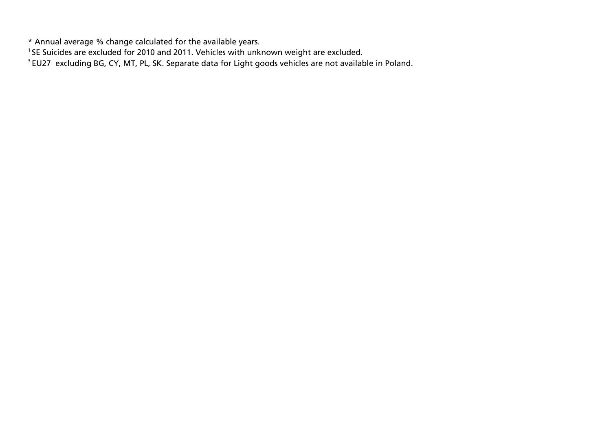\* Annual average % change calculated for the available years.

<sup>1</sup>SE Suicides are excluded for 2010 and 2011. Vehicles with unknown weight are excluded.

<sup>3</sup> EU27 excluding BG, CY, MT, PL, SK. Separate data for Light goods vehicles are not available in Poland.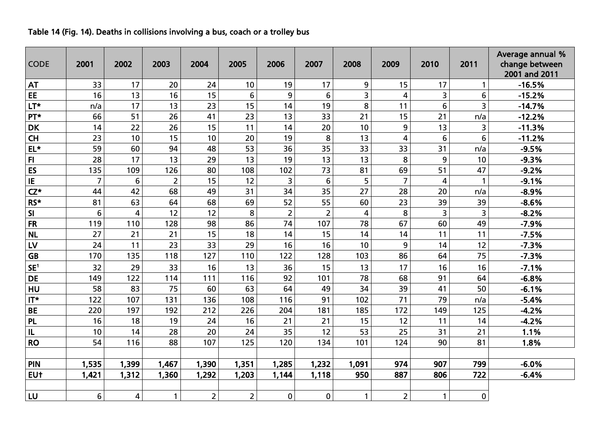### Table 14 (Fig. 14). Deaths in collisions involving a bus, coach or a trolley bus

| <b>CODE</b>     | 2001           | 2002  | 2003           | 2004           | 2005           | 2006           | 2007           | 2008         | 2009            | 2010         | 2011                    | Average annual %<br>change between<br>2001 and 2011 |  |
|-----------------|----------------|-------|----------------|----------------|----------------|----------------|----------------|--------------|-----------------|--------------|-------------------------|-----------------------------------------------------|--|
| <b>AT</b>       | 33             | 17    | 20             | 24             | 10             | 19             | 17             | 9            | 15              | 17           | $\mathbf{1}$            | $-16.5%$                                            |  |
| EE              | 16             | 13    | 16             | 15             | 6              | 9              | 6              | 3            | 4               | 3            | 6                       | $-15.2%$                                            |  |
| LT*             | n/a            | 17    | 13             | 23             | 15             | 14             | 19             | 8            | 11              | 6            | 3                       | $-14.7%$                                            |  |
| PT*             | 66             | 51    | 26             | 41             | 23             | 13             | 33             | 21           | 15              | 21           | n/a                     | $-12.2%$                                            |  |
| <b>DK</b>       | 14             | 22    | 26             | 15             | 11             | 14             | 20             | 10           | 9               | 13           | 3                       | $-11.3%$                                            |  |
| <b>CH</b>       | 23             | 10    | 15             | 10             | 20             | 19             | 8              | 13           | 4               | 6            | 6                       | $-11.2%$                                            |  |
| $EL*$           | 59             | 60    | 94             | 48             | 53             | 36             | 35             | 33           | 33              | 31           | n/a                     | $-9.5%$                                             |  |
| F1              | 28             | 17    | 13             | 29             | 13             | 19             | 13             | 13           | 8               | 9            | 10                      | $-9.3%$                                             |  |
| ES              | 135            | 109   | 126            | 80             | 108            | 102            | 73             | 81           | 69              | 51           | 47                      | $-9.2%$                                             |  |
| IE              | $\overline{7}$ | 6     | $\overline{c}$ | 15             | 12             | 3              | 6              | 5            | $\overline{7}$  | 4            | $\mathbf{1}$            | $-9.1%$                                             |  |
| $CZ^*$          | 44             | 42    | 68             | 49             | 31             | 34             | 35             | 27           | 28              | 20           | n/a                     | $-8.9%$                                             |  |
| RS*             | 81             | 63    | 64             | 68             | 69             | 52             | 55             | 60           | 23              | 39           | 39                      | $-8.6%$                                             |  |
| SI              | 6              | 4     | 12             | 12             | 8              | $\overline{2}$ | $\overline{2}$ | 4            | 8               | 3            | $\overline{\mathbf{3}}$ | $-8.2%$                                             |  |
| <b>FR</b>       | 119            | 110   | 128            | 98             | 86             | 74             | 107            | 78           | 67              | 60           | 49                      | $-7.9%$                                             |  |
| <b>NL</b>       | 27             | 21    | 21             | 15             | 18             | 14             | 15             | 14           | 14              | 11           | 11                      | $-7.5%$                                             |  |
| LV              | 24             | 11    | 23             | 33             | 29             | 16             | 16             | 10           | 9               | 14           | 12                      | $-7.3%$                                             |  |
| <b>GB</b>       | 170            | 135   | 118            | 127            | 110            | 122            | 128            | 103          | 86              | 64           | 75                      | $-7.3%$                                             |  |
| SE <sup>1</sup> | 32             | 29    | 33             | 16             | 13             | 36             | 15             | 13           | 17              | 16           | 16                      | $-7.1%$                                             |  |
| <b>DE</b>       | 149            | 122   | 114            | 111            | 116            | 92             | 101            | 78           | 68              | 91           | 64                      | $-6.8%$                                             |  |
| HU              | 58             | 83    | 75             | 60             | 63             | 64             | 49             | 34           | 39              | 41           | 50                      | $-6.1%$                                             |  |
| $IT*$           | 122            | 107   | 131            | 136            | 108            | 116            | 91             | 102          | $\overline{71}$ | 79           | n/a                     | $-5.4%$                                             |  |
| <b>BE</b>       | 220            | 197   | 192            | 212            | 226            | 204            | 181            | 185          | 172             | 149          | 125                     | $-4.2%$                                             |  |
| <b>PL</b>       | 16             | 18    | 19             | 24             | 16             | 21             | 21             | 15           | 12              | 11           | 14                      | $-4.2%$                                             |  |
| IL              | 10             | 14    | 28             | 20             | 24             | 35             | 12             | 53           | 25              | 31           | 21                      | 1.1%                                                |  |
| <b>RO</b>       | 54             | 116   | 88             | 107            | 125            | 120            | 134            | 101          | 124             | 90           | 81                      | 1.8%                                                |  |
|                 |                |       |                |                |                |                |                |              |                 |              |                         |                                                     |  |
| PIN             | 1,535          | 1,399 | 1,467          | 1,390          | 1,351          | 1,285          | 1,232          | 1,091        | 974             | 907          | 799                     | $-6.0%$                                             |  |
| EUt             | 1,421          | 1,312 | 1,360          | 1,292          | 1,203          | 1,144          | 1,118          | 950          | 887             | 806          | 722                     | $-6.4%$                                             |  |
|                 |                |       |                |                |                |                |                |              |                 |              |                         |                                                     |  |
| LU              | 6              | 4     | 1              | $\overline{2}$ | $\overline{2}$ | $\mathbf 0$    | $\mathbf 0$    | $\mathbf{1}$ | $\overline{2}$  | $\mathbf{1}$ | $\pmb{0}$               |                                                     |  |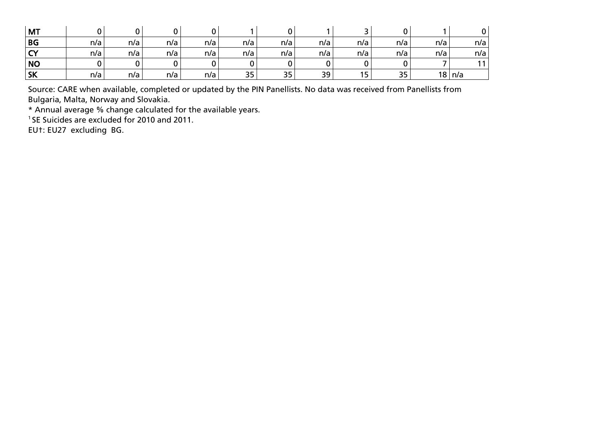| <b>MT</b>    |     |     |     |     |     |     |     |     |     |     |     |
|--------------|-----|-----|-----|-----|-----|-----|-----|-----|-----|-----|-----|
| <b>BG</b>    | n/a | n/a | n/a | n/a | n/a | n/a | n/a | n/a | n/a | n/a | n/a |
| $\sim$<br>`` | n/a | n/a | n/a | n/a | n/a | n/a | n/a | n/a | n/a | n/a | n/a |
| <b>NO</b>    |     |     |     |     |     |     |     |     |     |     |     |
| <b>SK</b>    | n/a | n/a | n/a | n/a | 35  | 35  | 39  | 15  | 35  | 18  | n/a |

Source: CARE when available, completed or updated by the PIN Panellists. No data was received from Panellists from Bulgaria, Malta, Norway and Slovakia.

\* Annual average % change calculated for the available years.

<sup>1</sup> SE Suicides are excluded for 2010 and 2011.

EU†: EU27 excluding BG.